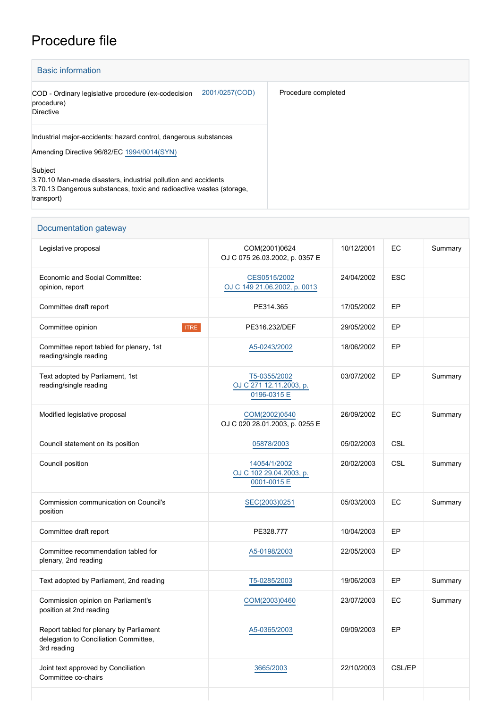## Procedure file

| <b>Basic information</b>                                                                                                                                        |                     |  |  |  |  |
|-----------------------------------------------------------------------------------------------------------------------------------------------------------------|---------------------|--|--|--|--|
| 2001/0257(COD)<br>COD - Ordinary legislative procedure (ex-codecision<br>procedure)<br><b>Directive</b>                                                         | Procedure completed |  |  |  |  |
| Industrial major-accidents: hazard control, dangerous substances<br>Amending Directive 96/82/EC 1994/0014(SYN)                                                  |                     |  |  |  |  |
| Subject<br>3.70.10 Man-made disasters, industrial pollution and accidents<br>3.70.13 Dangerous substances, toxic and radioactive wastes (storage,<br>transport) |                     |  |  |  |  |

| Documentation gateway                                                                           |             |                                                        |            |            |         |
|-------------------------------------------------------------------------------------------------|-------------|--------------------------------------------------------|------------|------------|---------|
| Legislative proposal                                                                            |             | COM(2001)0624<br>OJ C 075 26 03 2002, p. 0357 E        | 10/12/2001 | EC         | Summary |
| Economic and Social Committee:<br>opinion, report                                               |             | CES0515/2002<br>OJ C 149 21.06.2002, p. 0013           | 24/04/2002 | <b>ESC</b> |         |
| Committee draft report                                                                          |             | PE314.365                                              | 17/05/2002 | EP         |         |
| Committee opinion                                                                               | <b>ITRE</b> | PE316.232/DEF                                          | 29/05/2002 | EP         |         |
| Committee report tabled for plenary, 1st<br>reading/single reading                              |             | A5-0243/2002                                           | 18/06/2002 | EP         |         |
| Text adopted by Parliament, 1st<br>reading/single reading                                       |             | T5-0355/2002<br>OJ C 271 12.11.2003, p.<br>0196-0315 E | 03/07/2002 | EP         | Summary |
| Modified legislative proposal                                                                   |             | COM(2002)0540<br>OJ C 020 28.01.2003, p. 0255 E        | 26/09/2002 | ЕC         | Summary |
| Council statement on its position                                                               |             | 05878/2003                                             | 05/02/2003 | CSL        |         |
| Council position                                                                                |             | 14054/1/2002<br>OJ C 102 29.04.2003, p.<br>0001-0015 E | 20/02/2003 | CSL        | Summary |
| Commission communication on Council's<br>position                                               |             | SEC(2003)0251                                          | 05/03/2003 | EC         | Summary |
| Committee draft report                                                                          |             | PE328.777                                              | 10/04/2003 | EP         |         |
| Committee recommendation tabled for<br>plenary, 2nd reading                                     |             | A5-0198/2003                                           | 22/05/2003 | EP         |         |
| Text adopted by Parliament, 2nd reading                                                         |             | T5-0285/2003                                           | 19/06/2003 | EP         | Summary |
| Commission opinion on Parliament's<br>position at 2nd reading                                   |             | COM(2003)0460                                          | 23/07/2003 | EC         | Summary |
| Report tabled for plenary by Parliament<br>delegation to Conciliation Committee,<br>3rd reading |             | A5-0365/2003                                           | 09/09/2003 | EP         |         |
| Joint text approved by Conciliation<br>Committee co-chairs                                      |             | 3665/2003                                              | 22/10/2003 | CSL/EP     |         |